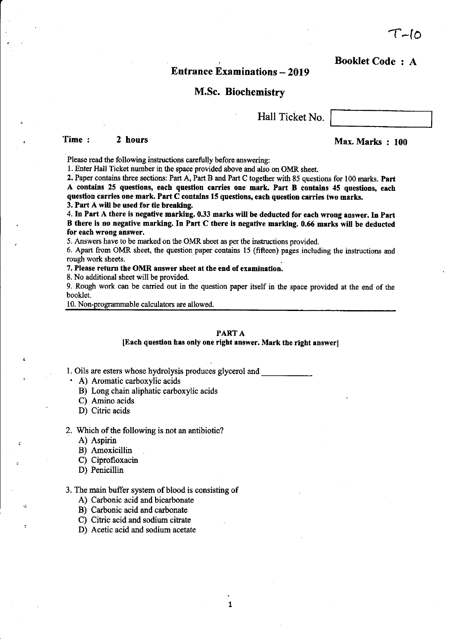$\mathbf{1}$ 

 $T - I$ o

Booklet Code : A

# **Entrance Examinations - 2019**

# M.Sc. Biochemistry

Hall Ticket No.

# Time : 2 hours Max. Marks : 100

Please read the following instructions carefully before answering:

1. Enter Hall Ticket number in the space provided above and also on OMR sheet.

2. Paper contains three sections: Part A, Part B and Part C together with 85 questions for 100 marks, part A contains 25 questions, each question carries one mark. Part B contains 45 questions, each question carries one mark. Part  $C$  contains 15 questions, each question carries two marks. 3, Part A will be ueed for tie breaking.

4. In Part A there is negative marking. 0.33 marks will be deducted for each wrong answer. In Part B there is no negative marking. In Part C there is negative marking. 0.66 marks will be deducted for each wrong answer,

5. Answers have to be marked on the OMR sheet as per the instructions provided,

6. Apart from OMR sheet, the question paper contains 15 (fifteen) pages including the instructions and rough work sheets.

7. Please return the OMR answer sheet at the end of examination.

8. No additional sheet will be provided.

9. Rough work can be carried out in the question paper itself in the space provided at the end of the booklet.

10. Non-programmable calculators are allowed.

### PARTA

### [Each question has only one right answer. Mark the right answer]

1. Oils are esters whose hydrolysis produces glycerol and

- ' A) Aromatic carboxylic acids
	- B) Long chain aliphatic carboxylic acids
	- C) Amino acids
	- D) Citric acids

#### 2. Which of the following is not an antibiotic?

- A) Aspirin
- B) Amoxicillin
- C) Ciprofloxacin
- D) Penicillin

ج،

3. The main buffer system of blood is consisting of

- A) Carbonic acid and bicarbonate
- B) Carbonic acid and carbonate
- C) Citric acid and sodium citrate
- D) Acetic acid and sodium acetate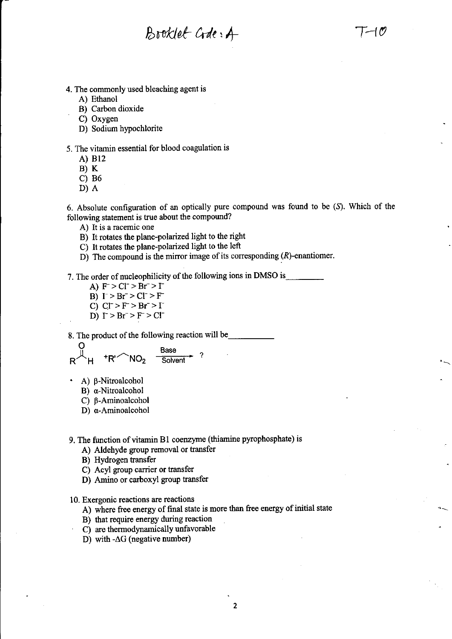$B{\rm v}$ oklet  $G$ de:  $A$   $T-10$ 

- 4. The commonly used bleaching agent is
	- A) Ethanol
	- B) Carbon dioxide<br>
	C) Oxygen
	-
	- D) Sodium hypochlorite

### 5. The vitamin essential for blood coagulation is

- A) Bl2
- $B) K$
- c) 86
- D)A

6. Absolute configuration of an optically pure compound was found to be (D. Which of the following statement is true about the compound?

- A) It is a racemic one
- B) It rotates the plane-polarized light to the right
- C) It rotates the plane-polarized light to the left
- D) The compound is the mirror image of its corresponding  $(R)$ -enantiomer.

7. The order of nucleophilicity of the following ions in DMSO is

- A)  $F > Cl^- > Br^- > I^-$
- B)  $\Gamma > \text{Br}^- > \text{Cl}^- > \text{F}^-$
- C)  $CI > F > Br > I$
- D)  $\Gamma > Br^- > F > Cl^-$

8. The product of the following reaction will be

$$
R^{\text{Base}} + R^{\prime} \text{NO}_2 \quad \frac{\text{Base}}{\text{Solvent}} \quad ?
$$

- ' A) p-Nitroalcohol
	- B) a-Nitroalcohol
	- C) B-Aminoalcohol
	- D) α-Aminoalcohol

9. The fimction of vitamin Bl coenzyme (thiamine pyrophosphate) is

- A) Aldehyde group removal or tansfer
- B) Hydrogen transfer
- C) Acyl group carrier or transfer
- D) Amino or carboxyl group transfer

10. Exergonic reactions are reactions

- A) where fiee energy of final state is more than free energy of initial state
- B) that require energy during reaction
- C) are thermodynamically unfavorable
- D) with  $-\Delta G$  (negative number)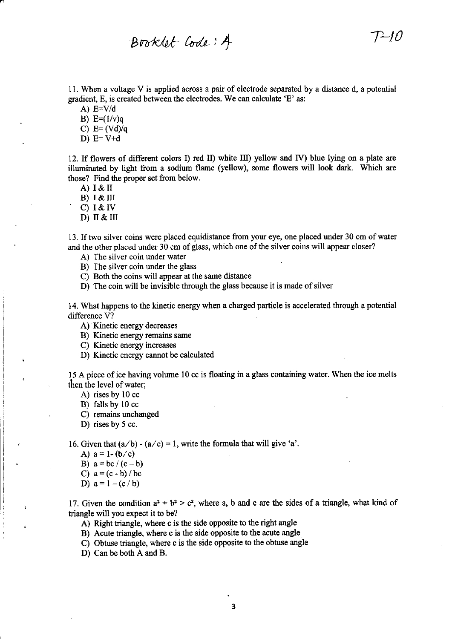Booklet Code: A

11. When a voltage V is applied across a pair of electrode separated by a distance d, a potential gradient, E, is created between the electrodes. We can calculate 'E' as:

 $-10$ 

A)  $E=V/d$ 

B)  $E=(1/v)q$ 

C)  $E = (Vd)/q$ 

D)  $E=V+d$ 

12. If flowers of different colors I) red II) white III) yellow and IV) blue lying on a plate are illuminated by light from a sodium flame (yellow), some flowers will look dark. Which are those? Find the proper set from below.

A)  $I & H$ 

B)  $I & H$ 

C)  $1 & W$ 

D) II & III

13. If two silver coins were placed equidistance from your eye, one placed under 30 cm of water and the other placed under 30 cm of glass, which one of the silver coins will appear closer?

A) The silver coin under water

B) The silver coin under the glass

C) Both the coins will appear at the same distance

D) The coin will be invisible through the glass because it is made of silver

14. What happens to the kinetic energy when a charged particle is accelerated through a potential difference V?

A) Kinetic energy decreases

B) Kinetic energy remains same

C) Kinetic energy increases

D) Kinetic energy cannot be calculated

15 A piece of ice having volume 10 cc is floating in a glass containing water. When the ice melts then the level of water;

A) rises by 10 cc<br>B) falls by 10 cc

- 
- C) remains unchanged

D) rises by 5 cc.

16. Given that  $(a/b) - (a/c) = 1$ , write the formula that will give 'a'.

- A)  $a = 1-(b/c)$
- B)  $a = bc/(c b)$
- C)  $a = (c b) / bc$
- D)  $a = 1 (c/b)$

17. Given the condition  $a^2 + b^2 > c^2$ , where a, b and c are the sides of a triangle, what kind of triangle will you expect it to be?

A) Right triangle, where c is the side opposite to the right angle

B) Acute triangle, where c is the side opposite to the acute angle

C) Obtuse triangle, where c is the side opposite to the obtuse angle

D) Can be both A and B.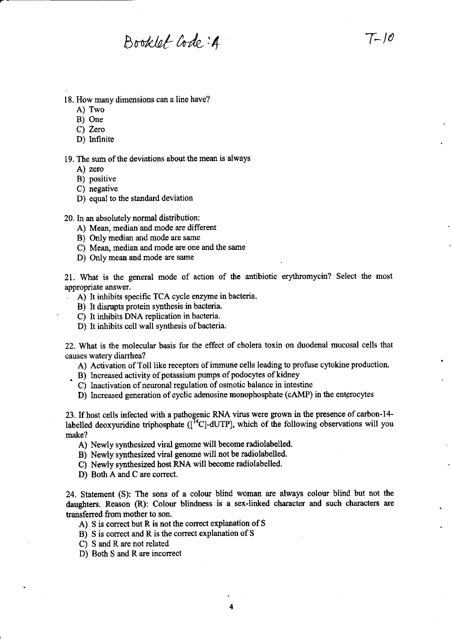$Bboldlet Code: 4$   $T-10$ 

- 18. How many dimensions can a line have?
	- A) Two
	- B) One
	- C) Zero
	- D) Infinite

19. The sum of the deviations about the mean is always

- A) zero
- B) positive
- C) negative
- D) equal to the standard deviation

20. In an absolutely normal distribution:

- A) Mean, median and mode are different
- B) Only median and mode are same
- C) Mean, median and mode are one and the same
- D) Only mean and mode are same

21. What is the general mode of action of the antibiotic erythromycin? Select the most appropriate answer.

- A) It inhibits specific TCA cycle enzyme in bacteria.
- B) It disrupts protein synthesis in bacteria.
- C) It inhibits DNA replication in bacteria.
- D) It inhibits cell wall synthesis of bacteria.

22. What is the molecular basis for the effect of cholera toxin on duodenal mucosal cells that causes watery diarrhea?

A) Activation of Toll like receptors of immune cells leading to profuse cytokine production.

- $(B)$  Increased activity of potassium pumps of podocytes of kidney
	- C) Inactivation of neuronal regulation of osmotic balance in intestine
	- D) lncreased generation of cyclic adenosine monophosphate (cAMP) in the entprocytes

23. If host cells infected with a pathogenic RNA virus were grown in the presence of carbon-14labelled deoxyuridine triphosphate  $([<sup>14</sup>C]-dUTP]$ , which of the following observations will you make?

A) Newly synthesized viral genome will become radiolabelled.

- B) Newly synthesized viral genome will not be radiolabelled.
- C) Newly synthesized host RNA will become mdiolabelled.
- D) Both A and C are correct.

24. Statement (S): The sons of a colour blind woman ate always colour blind but not the daughters. Reason (R): Colour blindness is a sex-linked character and such characters are tansferred from mother to son.

- A) S is correct but R is not the correct explanation of S
- B) S is correct and R is the correct explanation of S
- C) S and R are not related
- D) Both S and R are incorrect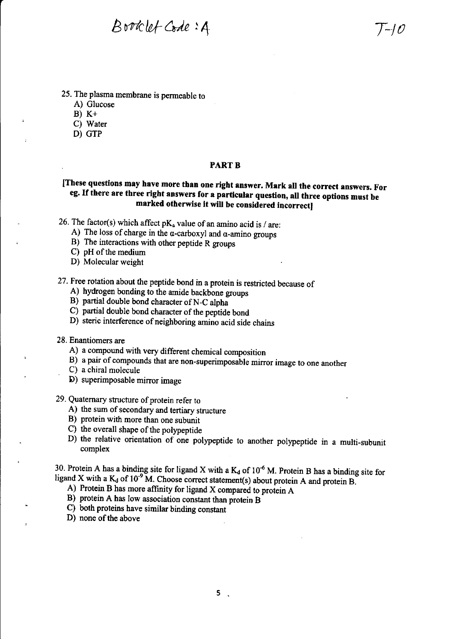$B$ *voklet Code*:  $A$   $T-10$ 

- 25. The plasma membrane is permeable to
	- A) Glucose
	- $B) K+$
	- C) Water
	- D) GTP

### PART B

# [These questions may have more than one right answer. Mark all the correct answers. For eg. If there are three right answers for a particular question, all three options must be marked otherwise it will be considered incorrect]

- 26. The factor(s) which affect  $pK_a$  value of an amino acid is / are:
	- A) The loss of charge in the  $\alpha$ -carboxyl and  $\alpha$ -amino groups
	- B) The interactions with other peptide R groups
	- C) pH of the medium
	- D) Molecular weight
- 27. Free rotation about the peptide bond in a protein is restricted because of A) hydrogen bonding to the amide backbone groups
	-
	- B) partial double bond character of N-C alpha
	- C) partial double bond character of the peptide bond
	- D) steric interference of neighboring amino acid side chains
- 28. Enantiomers are
	- A) a compound with very different chemical composition
	- B) a pair of compounds that are non-superimposable mirror image to one another
	- . C) a chiral molecule
	- D) superimposable mirror image
- 29. Quaternary structure of protein refer to
	- A) the sum of secondary and tertiary structure
	- B) protein with more than one subunit
	- C) the overall shape of the polypeptide
	- D) the relative orientation of one polypeptide to another polypeptide in a multi-subunit complex

30. Protein A has a binding site for ligand X with a  $K_d$  of 10<sup>-6</sup> M. Protein B has a binding site for ligand X with a  $K_d$  of 10<sup>-9</sup>M. Choose correct statement(s) about protein A and protein B.<br>A) Protein B has more affinity for ligand X compared to protein A

- 
- B) protein A has low association constant than protein <sup>B</sup>
- C) both proteins have similar binding constant
- D) none of the above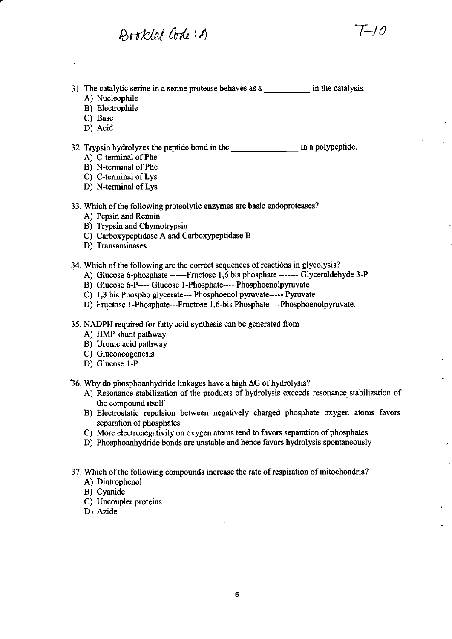Book/of Code: A

31. The catalytic serine in a serine protease behaves as a \_\_\_\_\_\_\_\_\_\_\_\_ in the catalysis.

- A) Nucleophile
- B) Electrophile
- C) Base
- D) Acid

32. Trypsin hydrolyzes the peptide bond in the \_\_\_\_\_\_\_\_\_\_\_\_\_\_\_\_\_\_\_\_\_ in a polypeptide A) C-terminal of Phe

- 
- B) N+erminal of Phe
- C) C-terminal of Lys
- D) N-terminal of Lys
- 33. Which of the following proteolytic enzymes are basic endoproteases?
	- A) Pepsin and Rennin
	- B) Trypsin and Chymotrypsin
	- C) Carboxypeptidase A and Carboxypeptidase B
	- D) Transaminases

34. Which of the following are the correct sequences of reactions in glycolysis?

- A) Glucose 6-phosphate ------Fructose 1,6 bis phosphate ------- Glyceraldehyde 3-P
- B) Glucose 6-P---- Glucose 1-Phosphate---- Phosphoenolpyruvate
- C) 1,3 bis Phospho glycerate--- Phosphoenol pyruvate----- Pyruvate
- D) Fructose 1-Phosphate---Fructose 1,6-bis Phosphate----Phosphoenolpyruvate.
- 35. NADPH required for fatty acid synthesis can be generated from
	- A) HMP shunt pathway
	- B) Uronic acid pathway
	- C) Gluconeogenesis
	- D) Glucose l-P

36. Why do phosphoanhydride linkages have a high  $\Delta G$  of hydrolysis?

- A) Resonance stabilization of the products of hydrolysis exceeds resonance stabilization of the compound itself
- B) Electrostatic repulsion between negatively charged phosphate oxygen atoms favors separation of phosphates
- C) More electronegativity on oxygen atoms tend to favors separation of phosphates
- D) Phosphoanhydride bonds are unstable and hence favors hydrolysis spontaneously
- 37. Which of the following compounds increase the rate of respiration of mitochondria?
	- A) Dintrophenol
	- B) Cyanide
	- C) Uncoupler proteins
	- D) Azide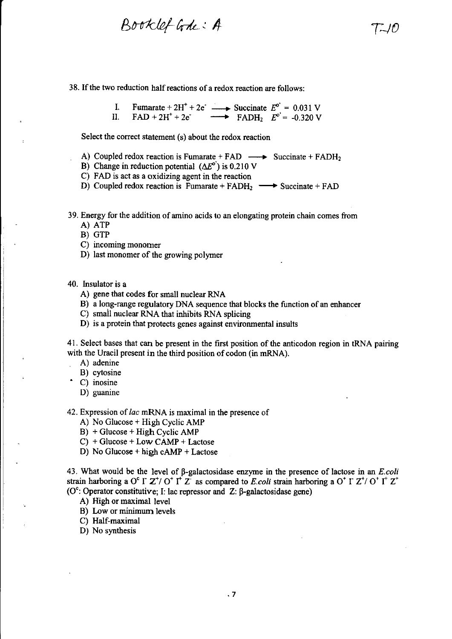Booklet Gode: A

38. If the two reduction half reactions of a redox reaction are follows:

I. Fumarate +  $2H^+ + 2e^ \longrightarrow$  Succinate  $E^{\circ} = 0.031$  V II. FAD +  $2H^+ + 2e^-$  Succinate  $E = 0.051$  V<br>FADH<sub>2</sub>  $E^{\circ} = -0.320$  V

Select the correct statement (s) about the redox reaction

- A) Coupled redox reaction is Fumarate + FAD  $\longrightarrow$  Succinate + FADH<sub>2</sub>
- B) Change in reduction potential  $(\Delta E^{\circ})$  is 0.210 V
- C) FAD is act as a oxidizing agent in the reaction
- D) Coupled redox reaction is Fumarate +  $FADH_2 \longrightarrow$  Succinate +  $FAD$

39. Energy for the addition of amino acids to an elongating protein chain comes from

- A) ATP
- B) GTP
- C) incoming monomer
- D) last monomer of the growing polymer

#### 40. Insulator is a

- A) gene that codes for small nuclear RNA
- B) a long-range regulatory DNA sequence that blocks the function of an enhancer
- C) small nuclear RNA that inhibits RNA splicing
- D) is a protein that protects genes against environmental insults

41. Select bases that can be present in the first position of the anticodon region in tRNA pairing with the Uracil present in the third position of codon (in mRNA).

- . A) adenine
- B) cytosine
- C) inosine
- D) guanine

42. Expression of *lac* mRNA is maximal in the presence of

- A) No Glucose + High Cyclic AMP
- B) + Glucose + High Cyclic AMP

 $C$ ) + Glucose + Low CAMP + Lactose

D) No Glucose + high cAMP + Lactose

43. What would be the level of  $\beta$ -galactosidase enzyme in the presence of lactose in an *E.coli* strain harboring a O<sup>c</sup> I  $Z^{\dagger}$  O<sup>†</sup> I<sup>t</sup>  $Z^{\dagger}$  as compared to *E.coli* strain harboring a O<sup>+</sup> I  $Z^{\dagger}$  O<sup>+</sup> I<sup>+</sup>  $Z^{\dagger}$ ( $O^c$ : Operator constitutive; I: lac repressor and Z:  $\beta$ -galactosidase gene)

A) High or maximal level

B) Low or minimurn levels

C) Half-maximal

D) No synthesis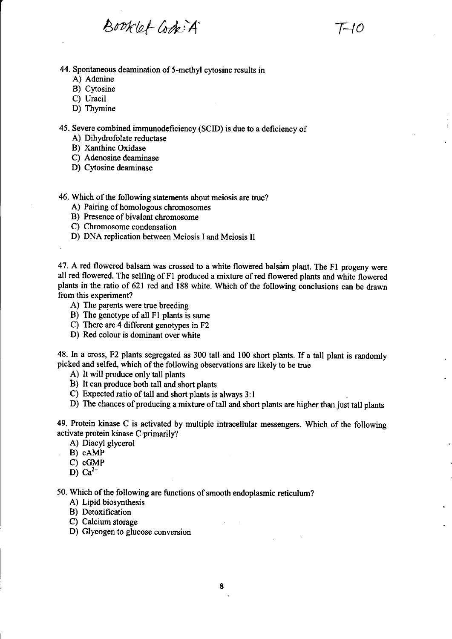$Bopklet\ Gdk:A'$  T-10

44. Spontaneous deamination of 5-methyl cytosine results in

- A) Adenine
- B) Cytosine
- C) Uracil
- D) Thymine

45. Severe combined immunodeficiency (SCID) is due to a deficiency of

- A) Dihydrofolate reductase
- B) Xanthine Oxidase
- C) Adenosine deaminase
- D) Cytosine deaminase

46. Which of the following statements about meiosis are true?

- A) Pairing of homologous chromosomes
- B) Presence of bivalent chromosome
- C) Chromosome condensation

D) DNA replication between Meiosis I and Meiosis II

47. A red flowered balsam was crossed to a white flowered balsam plant. The F1 progeny were all red flowered. The selfing of F1 produced a mixture of red flowered plants and white flowered plants in the ratio of 621 red and 188 white. Wbich of the following conclusions can be drawn from this experiment?

- A) The parents were true breeding
- B) The genotype of all F1 plants is same
- C) There are 4 different genotypes in F2
- D) Red colour is dominant over white

48. In a cross, F2 plants segregated as 300 tall and 100 short plants. If a tall plant is randomly picked and selfed, which of the following observations are likely to be true

- A) It will produce only tall plants
- B) It can produce both tall and short plants
- C) Expected ratio of tall and short plants is always <sup>3</sup>: I

D) The chances of producing a mixture of tall and short plants are higher than just tall plants

49. Protein kinase C is activated by multiple intracellular messengers. Which of the following activate protein kinase C primarily?

- A) Diacyl glycerol
- B) cAMP
- C) cGMP
- D)  $Ca^{2+}$

50. Which of the following are functions of smooth endoplasmic reticulum?

- A) Lipid biosynthesis
- B) Detoxification
- C) Calcium storage
- D) Glycogen to glucose conversion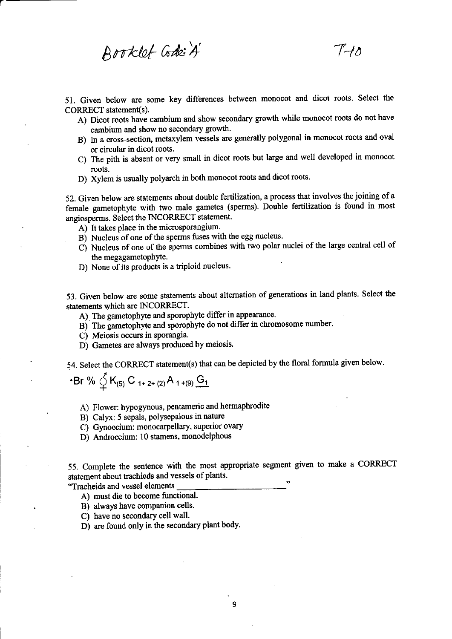$B$ ooklet Code: $A'$   $T+0$ 

51. Given below are some key differences between monocot and dicot roots. Select the CORRECT statement(s).

- A) Dicot roots have cambium and show secondary growth while monocot roots do not have cambium and show no secondary growth.
- B) In a cross-section, metaxylem vessels are generally polygonal in monocot foots and oval or circular in dicot roots.
- C) The pith is absent or very small in dicot roots but large and well developed in monocot roots.
- D) Xylem is usually polyarch in both monocot roots and dicot roots.

52. Given below are statements about double fertilization, a process that involves the joining of a female gametophyte with two male gametes (sperms). Double fertilization is found in most angiosperms. Select the INCORRECT statement.

- A) It takes place in the microsporangium.
- B) Nucleus of one of the spenns fuses with the egg nucleus.
- C) Nucleus of one of the sperms combines with two polar nuclei of the large central cell of the megagametophyte.
- D) None of its products is a triploid nucleus.

53. Given below are some statements about alternation of generations in land plants. Select the statements which are INCORRECT.

- A) The gametophyte and sporophyte differ in appearance.
- B) The gametophyte and sporophyte do not differ in chromosome number.
- C) Meiosis occurs in sporangia.
- D) Gametes are always produced by meiosis.

54. Select the coRREcT statement(s) that can be depicted by the floral formula given below.

 $\cdot$ Br %  $\oint K_{(5)} C_{1+2+(2)} A_{1+(9)} G_1$ 

A) Flower: hypogynous, pentameric and hermaphrodite

B) Calyx: 5 sepals, polysepalous in nature

- C) Gynoecium: monocarpellary, superior ovary
- D) Androecium: 10 stamens, monodelphous

. 55. Complete the sentence with the most appropriate segment given to make a CORRECT statement about trachieds and vessels of plants.

"Tracheids and vessel elements

- A) must die to become functional.
- B) always have companion cells.
- C) have no secondary cell wall.
- . D) are found only in the secondary plant body.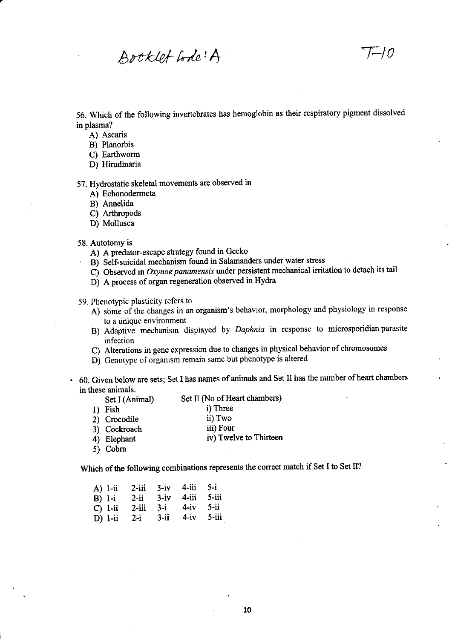Booklet Lode! A

56. Which of the following invertebrates has hemoglobin as their respiratory pigment dissolved in plasma?

- A) Ascaris
- B) Planorbis
- C) Earthworm
- D) Hirudinaria

57. Hydrostatic skeletal movements are observed in

- A) Echonodermeta
- B) Amelida
- C) Arthropods
- D) Mollusca

#### 58. Autotomy is

- A) A predator-escape strategy found in Gecko
- B) Self-suicidal mechanism found in Salamanders under water stress
- $\overrightarrow{C}$ ) Observed in Oxynoe panamensis under persistent mechanical irritation to detach its tail
- D) A process of organ regeneration observed in Hydra

#### 59. Phenotypic plasticity refers to

- A) some of the changes in an organism's behavior, morphology and physiology in response to a unique environment
- B) Adaptive mechanism displayed by Daphnia in response to microsporidian parasite infection
- c) Alterations in gene expression due to changes in physical behavior of chromosomes
- D) Genotype of organism remain same but phenotype is altered
- 60. Given below are sets; Set I has names of animals and Set II has the number of heart chambers in these animals.

| $Set \, \Pi$ (No of Heart chambers) |
|-------------------------------------|
|                                     |
|                                     |
|                                     |
| iv) Twelve to Thirteen              |
|                                     |
|                                     |

Which of the following combinations represents the correct match if Set I to Set II?

| A) 1-ii<br>$B)$ 1-i<br>$C)$ 1-ii | $2$ -iii<br>$2-i$ i<br>$2$ -iii | $3-1V$   | $3 - iv$ 4-iii 5-i<br>4-iii 5-iii<br>$3-i$ 4-iv | $5 - ii$ |
|----------------------------------|---------------------------------|----------|-------------------------------------------------|----------|
| $D)$ 1-ii                        | $2 - 1$                         | $3 - ii$ | $4-iv$                                          | - 5-iii  |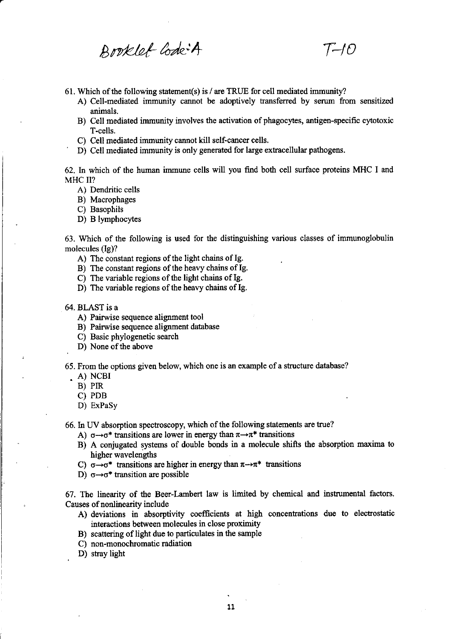Broklet Code+A T-10

- 61. Which of the following statement(s) is / are TRUE for oell mediated immunity?
	- A) Cell-mediated immunity cannot be adoptively transferred by serum from sensitized animals.
	- B) Cell mediated immunity involves the activation of phagocytes, antigen-specific cytotoxic T-cells.
	-
	- C) Cell mediated immunity cannot kill self-cancer cells.<br>
	D) Cell mediated immunity is only generated for large extracellular pathogens.

62. In which of the human immune cells will you find both cell surface proteins MHC I and MHC II?

- A) Dendritic cells
- B) Macrophages
- C) Basophils
- D) B lymphocytes

63. Which of the following is used for the distinguishing various classes of immunoglobulin molecules (Ig)?

- A) The constant regions of the light chains of Ig.
- B) The constant regions of the heavy chains of Ig.
- C) The variable regions of the light chains of Ig.
- D) The variable regions of the heavy chains of Ig.
- 64. BLAST is a
	- A) Pairwise sequence alignment tool
	- B) Pairwise sequence alignment database
	- C) Basic phylogenetic search
	- D) None of the above

65. From the options given below, which one is an example of a structure database?

. A) NCBI

,

- B) PIR
- C) PDB
- D) ExPaSy

66. In UV absorption spectroscopy, which of the following statements are true?

- A)  $\sigma \rightarrow \sigma^*$  transitions are lower in energy than  $\pi \rightarrow \pi^*$  transitions
- B) A conjugated systems of double bonds in a molecule shifts the absorption maxima to higher wavelengths
- C)  $\sigma \rightarrow \sigma^*$  transitions are higher in energy than  $\pi \rightarrow \pi^*$  transitions
- D)  $\sigma \rightarrow \sigma^*$  transition are possible

67. The linearity of the Beer-Lambert law is limited by chemical and instrumental factors. Causes of nonlinearity inolude

- A) deviations in absorptivity coefficients at high concentrations due to electrostatic interactions between molecules in close proximity
- B) scattering of light due to particulates in the sarnple
- C) non-monochromatic radiation
- D) stray light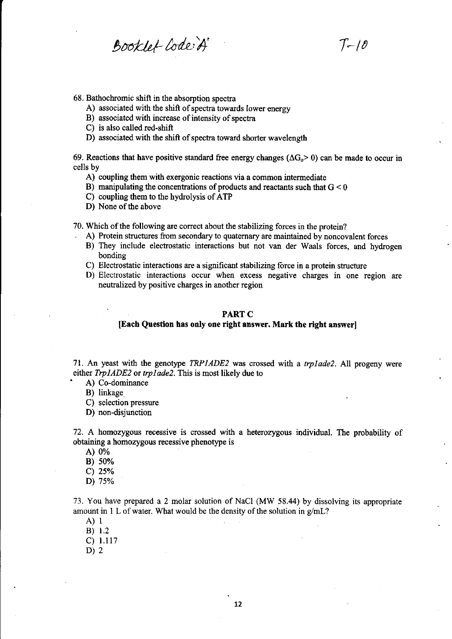Booklet-Code:A T-10

68. Bathochromic shift in the absorption spectra

- A) associated with the shift of spectra towards lower energy
- B) associated with increase of intensity of spectra
- C) is also called red-shift
- D) associated with the shift of spectra toward shorter wavelength

69. Reactions that have positive standard free energy changes ( $\Delta G_0$  > 0) can be made to occur in cells by

- A) coupling them with exergonic reactions via a common intermediate
- B) manipulating the concentrations of products and reactants such that  $G < 0$
- C) coupling them to the hydrolysis ofATP
- D) None of the above

70. Which of the following are correct about the stabilizing forces in the protein?

- . A) Protein structures from secondary to quatemary are maintained by noncovalent forces
- B) They include electrostatic interactions but not van der Waals forces, and hydrogen bonding
- C) Electrostatic interactions are a significant stabilizing force in a protein structure
- D) Electrostatic interactions occur when excess negative charges in one region are neutralized by positive charges in another region

### PART C

## [Each Question has only one right answer. Mark the right answer]

71. An yeast with the genotype  $TRP IADE2$  was crossed with a *trplade2*. All progeny were either  $TrpIADE2$  or  $trplade2$ . This is most likely due to  $A)$  Co-dominance

B) linkage.

C) selection pressure

D) non-disjunction

72. A homozygous recessive is crossed with a heterozygous individual. The probability of obtaining a homozygous recessive phenotype is

A) 0%

B) 50%

c) 25o/o

D\ 7s%

73. You have prepared a 2 molar solution of NaCl (MW 58.44) by dissolving its appropriate amount in 1 L of water. What would be the density of the solution in  $g/mL$ ?

 $A)$  l

 $B) 1.2$ 

c) 1.117

D)  $2$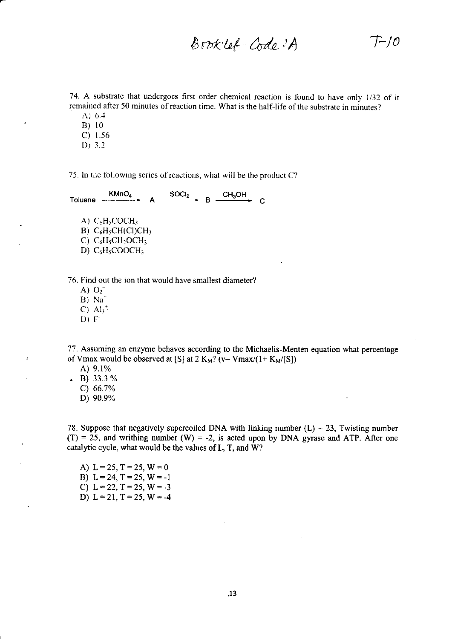Brvtt!,(- Me- )A -l>/0

74. A substrate that undergoes first order chemical reaction is found to have only 1/32 of it remained after 50 minutes of reaction time. What is the half-life of the substrate in minutes?

- $A) 6.4$
- B) l0 c) 1.56
- $D) 3.2$
- 

75. In the following series of reactions, what will be the product  $C$ ?

| KMnO <sub>4</sub><br>Toluene                                                  | SOCI <sub>2</sub> | <b>CH3OH</b> |  |
|-------------------------------------------------------------------------------|-------------------|--------------|--|
| A) $C_6H_5COCH_3$<br>$B)$ C <sub>6</sub> H <sub>5</sub> CH(Cl)CH <sub>3</sub> |                   |              |  |
| C) $C_6H_5CH_2OCH_3$                                                          |                   |              |  |
| D) $C_6H_5COOCH_3$                                                            |                   |              |  |
|                                                                               |                   |              |  |

76. Find out the ion that would have smallest diameter?

- A)  $O_2^-$
- $B)$  Na<sup>+</sup>
- C)  $Al_3^+$
- D} F'

77. Assuming an enzyme behaves according to the Michaelis-Menten equation what percentage of Vmax would be observed at [S] at 2 K<sub>M</sub>? (v= Vmax/(1+ K<sub>M</sub>/[S])

- A) 9.1%
- $\bullet$  B) 33.3 %
	- c) 66.7%
	- D) 90.9%

78. Suppose that negatively supercoiled DNA with linking number  $(L) = 23$ , Twisting number  $(T) = 25$ , and writhing number  $(W) = -2$ , is acted upon by DNA gyrase and ATP. After one catalytic cycle, what would be the values of L, T, and W?

A) L=25, T=25, W=0 B)  $L = 24$ ,  $T = 25$ ,  $W = -1$ C) L = 22, T = 25, W = -3 D)  $L = 21$ ,  $T = 25$ ,  $W = -4$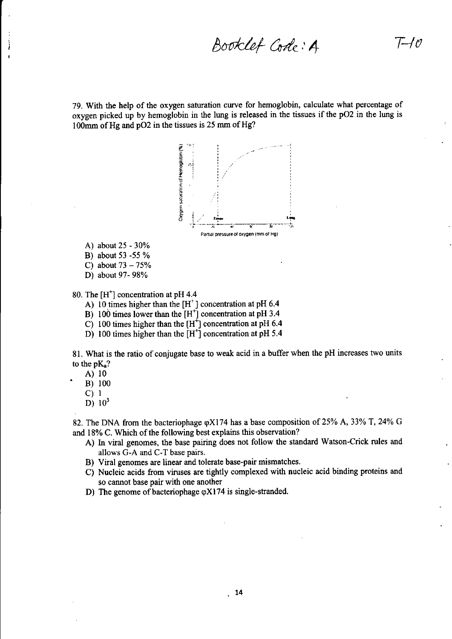Booklet Code: A

 $T-\ell$ 

79. With the help of the oxygen saturation curve for hemoglobin, calculate what percentage of oxygen picked up by hemoglobin in the lung is released in the tissues if the pO2 in the lung is 100mm of Hg and pO2 in the tissues is 25 mm of Hg?



- A) about 25 30%
- B) about 53 -55 %
- C) about  $73 75%$
- D) about 97- 98%

80. The  $[H^+]$  concentration at pH 4.4

- A) 10 times higher than the  $[H^+]$  concentration at pH 6.4
- B) 100 times lower than the [H\*] concentration at pH 3.4
- C) 100 times higher than the  $[H^+]$  concentration at pH 6.4
- D) 100 times higher than the  $[H<sup>+</sup>]$  concentration at pH 5.4

81. What is the ratio of conjugate base to weak acid in a buffer when the pH increases two units to the  $pK_a$ ?

A) <sup>10</sup>

- B)  $100$ <br>C)  $1$
- 
- D)  $10^3$

82. The DNA from the bacteriophage  $\varphi X$ 174 has a base composition of 25% A, 33% T, 24% G and 18% C. Which of the following best explains this observation?

- A) hr viral genomes, the base pairing does not follow the standard Watson-Crick rules and allows G-A and C-T base pairs.
- B) Viral genomes are linear and tolerate base-pair mismatches.
- C) Nucleic acids fiom viruses are tightly complexed with nucleic acid binding proteins and so cannot base pair with one another
- D) The genome of bacteriophage  $\varphi$ X174 is single-stranded.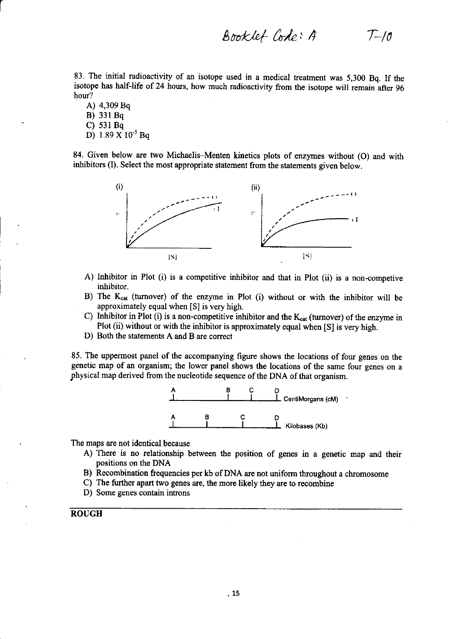$Booklet Code: A$   $T-10$ 

83. The initial radioactivity of an isotope used in a medical treatment was 5,300 Bq. If the isotope has half-life of 24 hours, how much radioactivity from the isotope will remain after 96 hour?

A) 4,309 Bq B) 331Bq C) 531Bq D) 1.89 X 10<sup>-5</sup> Bq

84. Given below are two Michaelis-Menten kinetics plots of enzymes without (O) and with inhibitors (I). Select the most appropriate statement from the statements given below.



- A) Inhibitor in Plot (i) is a competitive inhibitor and that in Plot (ii) is a non-competive inhibitor.
- B) The  $K_{cat}$  (turnover) of the enzyme in Plot (i) without or with the inhibitor will be approximately equal when [S] is very high.
- C) Inhibitor in Plot (i) is a non-competitive inhibitor and the  $K_{cat}$  (turnover) of the enzyme in Plot (ii) without or with the inhibitor is approximately equal when [S] is very high.
- D) Both the statements A and B are correct

85. The uppermost panel of the accompanying figure shows the locations of four genes on the genetic map of an organism; the lower panel shows the locations of the same four genes on <sup>a</sup> physical map derived from the nucleotide sequence of the DNA of that organism.



The maps are not identical because

- A) There is no relationship between the position of genes in a genetic map and their positions on the DNA
- B) Recombination frequencies per kb of DNA are not uniform throughout a chromosome
- C) The further apart two genes are, the more likely they are to recombine
- D) Some genes contain introns